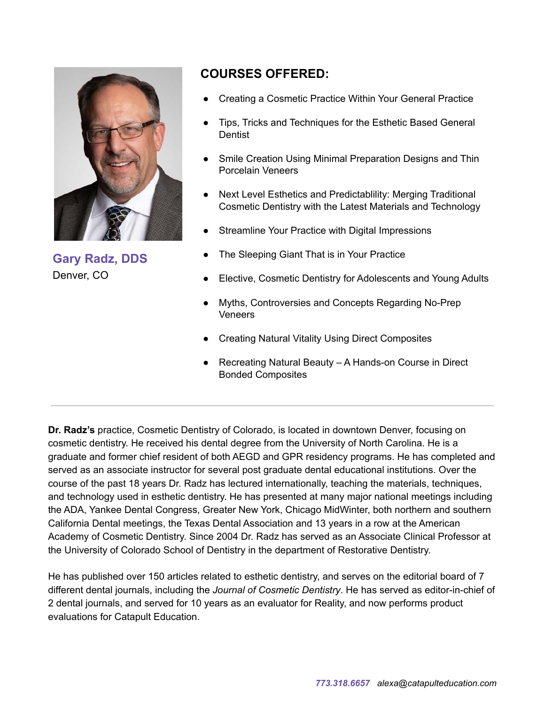

**Gary Radz, DDS** Denver, CO

## **COURSES OFFERED:**

- Creating a Cosmetic Practice Within Your General Practice
- Tips, Tricks and Techniques for the Esthetic Based General Dentist
- Smile Creation Using Minimal Preparation Designs and Thin Porcelain Veneers
- Next Level Esthetics and Predictablility: Merging Traditional Cosmetic Dentistry with the Latest Materials and Technology
- Streamline Your Practice with Digital Impressions
- The Sleeping Giant That is in Your Practice
- Elective, Cosmetic Dentistry for Adolescents and Young Adults
- Myths, Controversies and Concepts Regarding No-Prep Veneers
- **Creating Natural Vitality Using Direct Composites**
- Recreating Natural Beauty A Hands-on Course in Direct Bonded Composites

**Dr. Radz's** practice, Cosmetic Dentistry of Colorado, is located in downtown Denver, focusing on cosmetic dentistry. He received his dental degree from the University of North Carolina. He is a graduate and former chief resident of both AEGD and GPR residency programs. He has completed and served as an associate instructor for several post graduate dental educational institutions. Over the course of the past 18 years Dr. Radz has lectured internationally, teaching the materials, techniques, and technology used in esthetic dentistry. He has presented at many major national meetings including the ADA, Yankee Dental Congress, Greater New York, Chicago MidWinter, both northern and southern California Dental meetings, the Texas Dental Association and 13 years in a row at the American Academy of Cosmetic Dentistry. Since 2004 Dr. Radz has served as an Associate Clinical Professor at the University of Colorado School of Dentistry in the department of Restorative Dentistry.

He has published over 150 articles related to esthetic dentistry, and serves on the editorial board of 7 different dental journals, including the *Journal of Cosmetic Dentistry*. He has served as editor-in-chief of 2 dental journals, and served for 10 years as an evaluator for Reality, and now performs product evaluations for Catapult Education.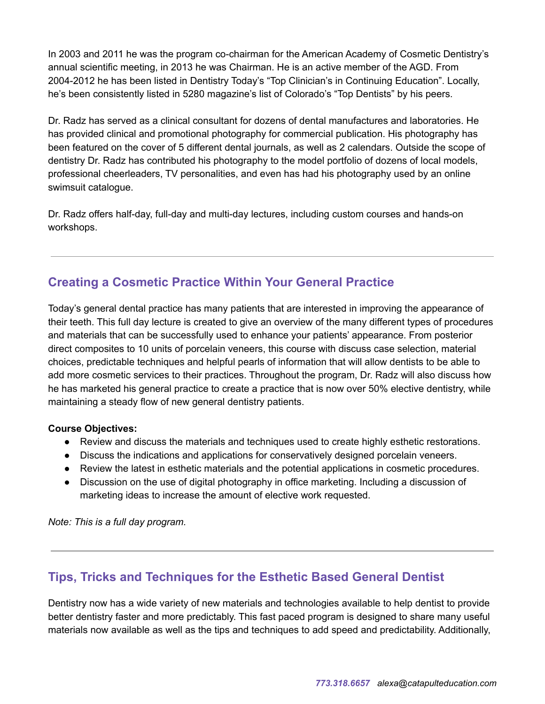In 2003 and 2011 he was the program co-chairman for the American Academy of Cosmetic Dentistry's annual scientific meeting, in 2013 he was Chairman. He is an active member of the AGD. From 2004-2012 he has been listed in Dentistry Today's "Top Clinician's in Continuing Education". Locally, he's been consistently listed in 5280 magazine's list of Colorado's "Top Dentists" by his peers.

Dr. Radz has served as a clinical consultant for dozens of dental manufactures and laboratories. He has provided clinical and promotional photography for commercial publication. His photography has been featured on the cover of 5 different dental journals, as well as 2 calendars. Outside the scope of dentistry Dr. Radz has contributed his photography to the model portfolio of dozens of local models, professional cheerleaders, TV personalities, and even has had his photography used by an online swimsuit catalogue.

Dr. Radz offers half-day, full-day and multi-day lectures, including custom courses and hands-on workshops.

# **Creating a Cosmetic Practice Within Your General Practice**

Today's general dental practice has many patients that are interested in improving the appearance of their teeth. This full day lecture is created to give an overview of the many different types of procedures and materials that can be successfully used to enhance your patients' appearance. From posterior direct composites to 10 units of porcelain veneers, this course with discuss case selection, material choices, predictable techniques and helpful pearls of information that will allow dentists to be able to add more cosmetic services to their practices. Throughout the program, Dr. Radz will also discuss how he has marketed his general practice to create a practice that is now over 50% elective dentistry, while maintaining a steady flow of new general dentistry patients.

### **Course Objectives:**

- Review and discuss the materials and techniques used to create highly esthetic restorations.
- Discuss the indications and applications for conservatively designed porcelain veneers.
- Review the latest in esthetic materials and the potential applications in cosmetic procedures.
- Discussion on the use of digital photography in office marketing. Including a discussion of marketing ideas to increase the amount of elective work requested.

*Note: This is a full day program.*

## **Tips, Tricks and Techniques for the Esthetic Based General Dentist**

Dentistry now has a wide variety of new materials and technologies available to help dentist to provide better dentistry faster and more predictably. This fast paced program is designed to share many useful materials now available as well as the tips and techniques to add speed and predictability. Additionally,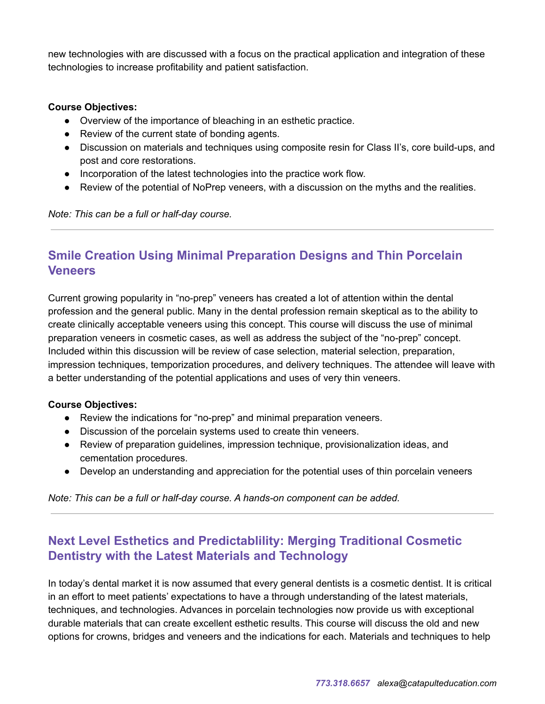new technologies with are discussed with a focus on the practical application and integration of these technologies to increase profitability and patient satisfaction.

#### **Course Objectives:**

- Overview of the importance of bleaching in an esthetic practice.
- Review of the current state of bonding agents.
- Discussion on materials and techniques using composite resin for Class II's, core build-ups, and post and core restorations.
- Incorporation of the latest technologies into the practice work flow.
- Review of the potential of NoPrep veneers, with a discussion on the myths and the realities.

*Note: This can be a full or half-day course.*

## **Smile Creation Using Minimal Preparation Designs and Thin Porcelain Veneers**

Current growing popularity in "no-prep" veneers has created a lot of attention within the dental profession and the general public. Many in the dental profession remain skeptical as to the ability to create clinically acceptable veneers using this concept. This course will discuss the use of minimal preparation veneers in cosmetic cases, as well as address the subject of the "no-prep" concept. Included within this discussion will be review of case selection, material selection, preparation, impression techniques, temporization procedures, and delivery techniques. The attendee will leave with a better understanding of the potential applications and uses of very thin veneers.

#### **Course Objectives:**

- Review the indications for "no-prep" and minimal preparation veneers.
- Discussion of the porcelain systems used to create thin veneers.
- Review of preparation guidelines, impression technique, provisionalization ideas, and cementation procedures.
- Develop an understanding and appreciation for the potential uses of thin porcelain veneers

*Note: This can be a full or half-day course. A hands-on component can be added.*

## **Next Level Esthetics and Predictablility: Merging Traditional Cosmetic Dentistry with the Latest Materials and Technology**

In today's dental market it is now assumed that every general dentists is a cosmetic dentist. It is critical in an effort to meet patients' expectations to have a through understanding of the latest materials, techniques, and technologies. Advances in porcelain technologies now provide us with exceptional durable materials that can create excellent esthetic results. This course will discuss the old and new options for crowns, bridges and veneers and the indications for each. Materials and techniques to help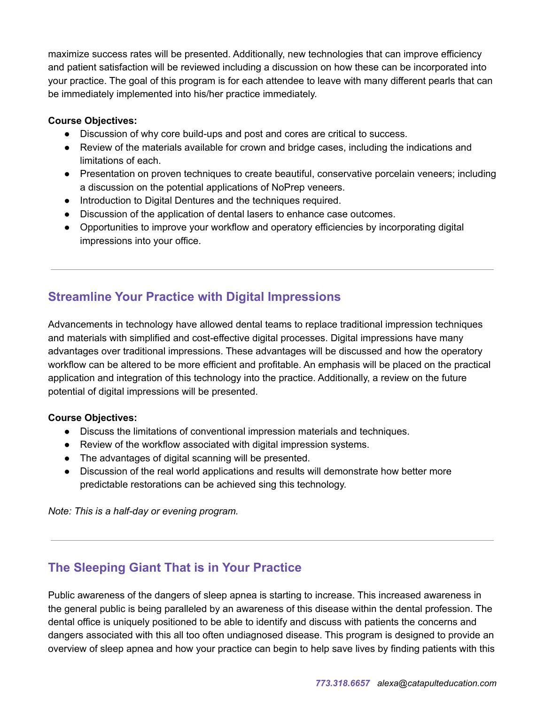maximize success rates will be presented. Additionally, new technologies that can improve efficiency and patient satisfaction will be reviewed including a discussion on how these can be incorporated into your practice. The goal of this program is for each attendee to leave with many different pearls that can be immediately implemented into his/her practice immediately.

#### **Course Objectives:**

- Discussion of why core build-ups and post and cores are critical to success.
- Review of the materials available for crown and bridge cases, including the indications and limitations of each.
- Presentation on proven techniques to create beautiful, conservative porcelain veneers; including a discussion on the potential applications of NoPrep veneers.
- Introduction to Digital Dentures and the techniques required.
- Discussion of the application of dental lasers to enhance case outcomes.
- Opportunities to improve your workflow and operatory efficiencies by incorporating digital impressions into your office.

# **Streamline Your Practice with Digital Impressions**

Advancements in technology have allowed dental teams to replace traditional impression techniques and materials with simplified and cost-effective digital processes. Digital impressions have many advantages over traditional impressions. These advantages will be discussed and how the operatory workflow can be altered to be more efficient and profitable. An emphasis will be placed on the practical application and integration of this technology into the practice. Additionally, a review on the future potential of digital impressions will be presented.

### **Course Objectives:**

- Discuss the limitations of conventional impression materials and techniques.
- Review of the workflow associated with digital impression systems.
- The advantages of digital scanning will be presented.
- Discussion of the real world applications and results will demonstrate how better more predictable restorations can be achieved sing this technology.

*Note: This is a half-day or evening program.*

## **The Sleeping Giant That is in Your Practice**

Public awareness of the dangers of sleep apnea is starting to increase. This increased awareness in the general public is being paralleled by an awareness of this disease within the dental profession. The dental office is uniquely positioned to be able to identify and discuss with patients the concerns and dangers associated with this all too often undiagnosed disease. This program is designed to provide an overview of sleep apnea and how your practice can begin to help save lives by finding patients with this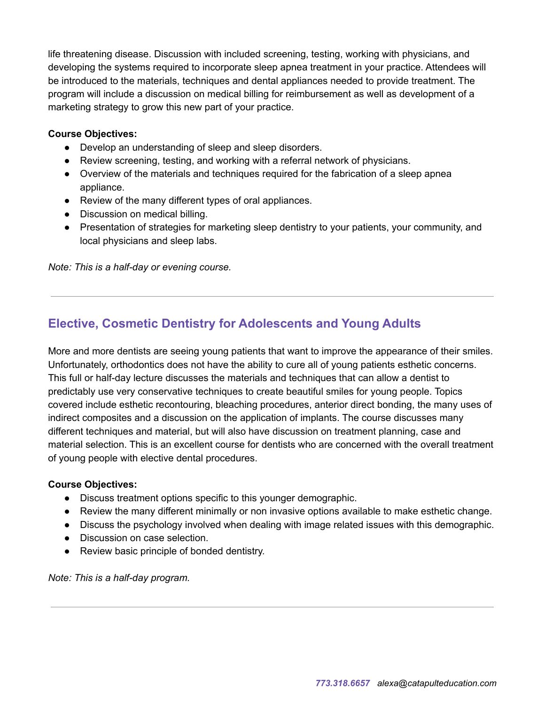life threatening disease. Discussion with included screening, testing, working with physicians, and developing the systems required to incorporate sleep apnea treatment in your practice. Attendees will be introduced to the materials, techniques and dental appliances needed to provide treatment. The program will include a discussion on medical billing for reimbursement as well as development of a marketing strategy to grow this new part of your practice.

#### **Course Objectives:**

- Develop an understanding of sleep and sleep disorders.
- Review screening, testing, and working with a referral network of physicians.
- Overview of the materials and techniques required for the fabrication of a sleep apnea appliance.
- Review of the many different types of oral appliances.
- Discussion on medical billing.
- Presentation of strategies for marketing sleep dentistry to your patients, your community, and local physicians and sleep labs.

*Note: This is a half-day or evening course.*

## **Elective, Cosmetic Dentistry for Adolescents and Young Adults**

More and more dentists are seeing young patients that want to improve the appearance of their smiles. Unfortunately, orthodontics does not have the ability to cure all of young patients esthetic concerns. This full or half-day lecture discusses the materials and techniques that can allow a dentist to predictably use very conservative techniques to create beautiful smiles for young people. Topics covered include esthetic recontouring, bleaching procedures, anterior direct bonding, the many uses of indirect composites and a discussion on the application of implants. The course discusses many different techniques and material, but will also have discussion on treatment planning, case and material selection. This is an excellent course for dentists who are concerned with the overall treatment of young people with elective dental procedures.

#### **Course Objectives:**

- Discuss treatment options specific to this younger demographic.
- Review the many different minimally or non invasive options available to make esthetic change.
- Discuss the psychology involved when dealing with image related issues with this demographic.
- Discussion on case selection.
- Review basic principle of bonded dentistry.

*Note: This is a half-day program.*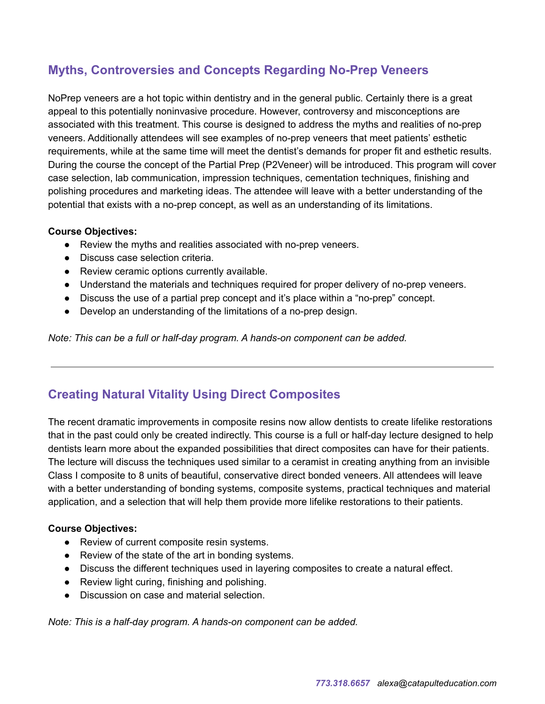# **Myths, Controversies and Concepts Regarding No-Prep Veneers**

NoPrep veneers are a hot topic within dentistry and in the general public. Certainly there is a great appeal to this potentially noninvasive procedure. However, controversy and misconceptions are associated with this treatment. This course is designed to address the myths and realities of no-prep veneers. Additionally attendees will see examples of no-prep veneers that meet patients' esthetic requirements, while at the same time will meet the dentist's demands for proper fit and esthetic results. During the course the concept of the Partial Prep (P2Veneer) will be introduced. This program will cover case selection, lab communication, impression techniques, cementation techniques, finishing and polishing procedures and marketing ideas. The attendee will leave with a better understanding of the potential that exists with a no-prep concept, as well as an understanding of its limitations.

### **Course Objectives:**

- Review the myths and realities associated with no-prep veneers.
- Discuss case selection criteria.
- Review ceramic options currently available.
- Understand the materials and techniques required for proper delivery of no-prep veneers.
- Discuss the use of a partial prep concept and it's place within a "no-prep" concept.
- Develop an understanding of the limitations of a no-prep design.

*Note: This can be a full or half-day program. A hands-on component can be added.*

## **Creating Natural Vitality Using Direct Composites**

The recent dramatic improvements in composite resins now allow dentists to create lifelike restorations that in the past could only be created indirectly. This course is a full or half-day lecture designed to help dentists learn more about the expanded possibilities that direct composites can have for their patients. The lecture will discuss the techniques used similar to a ceramist in creating anything from an invisible Class I composite to 8 units of beautiful, conservative direct bonded veneers. All attendees will leave with a better understanding of bonding systems, composite systems, practical techniques and material application, and a selection that will help them provide more lifelike restorations to their patients.

#### **Course Objectives:**

- Review of current composite resin systems.
- Review of the state of the art in bonding systems.
- Discuss the different techniques used in layering composites to create a natural effect.
- Review light curing, finishing and polishing.
- Discussion on case and material selection.

*Note: This is a half-day program. A hands-on component can be added.*